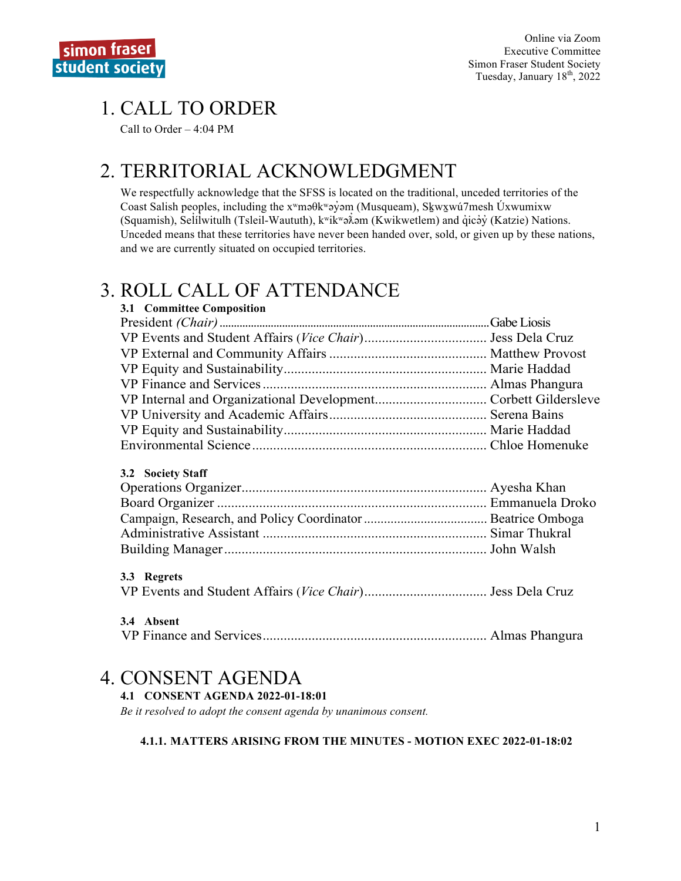## 1. CALL TO ORDER

Call to Order – 4:04 PM

## 2. TERRITORIAL ACKNOWLEDGMENT

We respectfully acknowledge that the SFSS is located on the traditional, unceded territories of the Coast Salish peoples, including the xʷməθkʷəy̓əm (Musqueam), Sḵwx̱wú7mesh Úxwumixw (Squamish), Selilwitulh (Tsleil-Waututh), k<sup>w</sup>ikwə $\lambda$ əm (Kwikwetlem) and qıcə y (Katzie) Nations. ̓ ̓ Unceded means that these territories have never been handed over, sold, or given up by these nations, and we are currently situated on occupied territories.

## 3. ROLL CALL OF ATTENDANCE

| 3.1 Committee Composition |  |
|---------------------------|--|
|                           |  |
|                           |  |
|                           |  |
|                           |  |
|                           |  |
|                           |  |
|                           |  |
|                           |  |
|                           |  |
| 3.2 Society Staff         |  |
|                           |  |
|                           |  |
|                           |  |
|                           |  |
|                           |  |
| 3.3 Regrets               |  |
|                           |  |
| 3.4 Absent                |  |

| $\mathbf{v}$ . Tausur |  |
|-----------------------|--|

## 4. CONSENT AGENDA

#### **4.1 CONSENT AGENDA 2022-01-18:01**

*Be it resolved to adopt the consent agenda by unanimous consent.*

#### **4.1.1. MATTERS ARISING FROM THE MINUTES - MOTION EXEC 2022-01-18:02**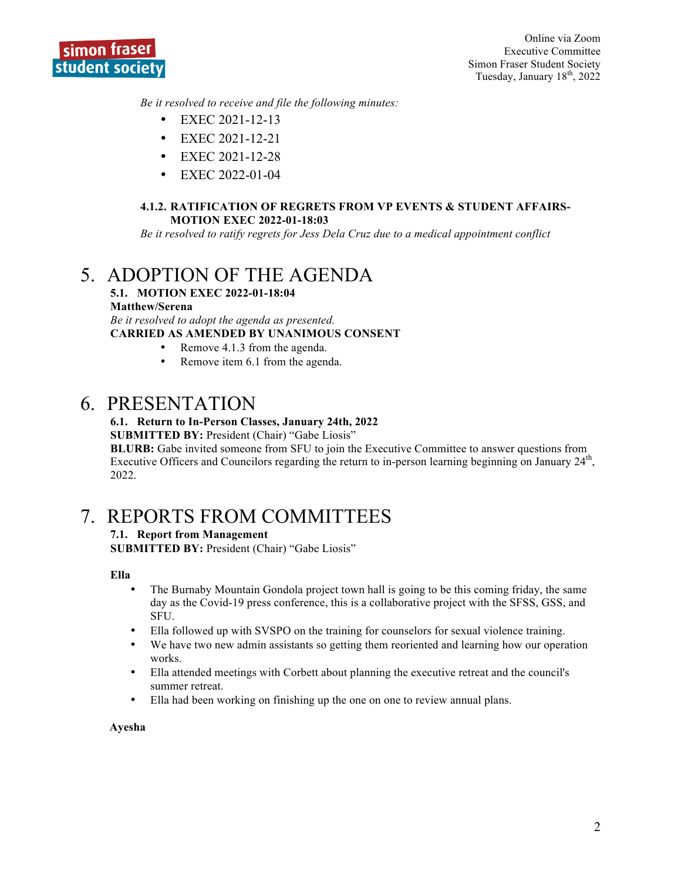

*Be it resolved to receive and file the following minutes:*

- EXEC 2021-12-13
- EXEC 2021-12-21
- EXEC 2021-12-28
- EXEC 2022-01-04

#### **4.1.2. RATIFICATION OF REGRETS FROM VP EVENTS & STUDENT AFFAIRS-MOTION EXEC 2022-01-18:03**

*Be it resolved to ratify regrets for Jess Dela Cruz due to a medical appointment conflict*

## 5. ADOPTION OF THE AGENDA

#### **5.1. MOTION EXEC 2022-01-18:04 Matthew/Serena**

*Be it resolved to adopt the agenda as presented.* **CARRIED AS AMENDED BY UNANIMOUS CONSENT**

- Remove 4.1.3 from the agenda.
- Remove item 6.1 from the agenda.

## 6. PRESENTATION

#### **6.1. Return to In-Person Classes, January 24th, 2022**

**SUBMITTED BY:** President (Chair) "Gabe Liosis"

**BLURB:** Gabe invited someone from SFU to join the Executive Committee to answer questions from Executive Officers and Councilors regarding the return to in-person learning beginning on January 24<sup>th</sup>, 2022.

## 7. REPORTS FROM COMMITTEES

#### **7.1. Report from Management**

**SUBMITTED BY:** President (Chair) "Gabe Liosis"

#### **Ella**

- The Burnaby Mountain Gondola project town hall is going to be this coming friday, the same day as the Covid-19 press conference, this is a collaborative project with the SFSS, GSS, and SFU.
- Ella followed up with SVSPO on the training for counselors for sexual violence training.
- We have two new admin assistants so getting them reoriented and learning how our operation works.
- Ella attended meetings with Corbett about planning the executive retreat and the council's summer retreat.
- Ella had been working on finishing up the one on one to review annual plans.

#### **Ayesha**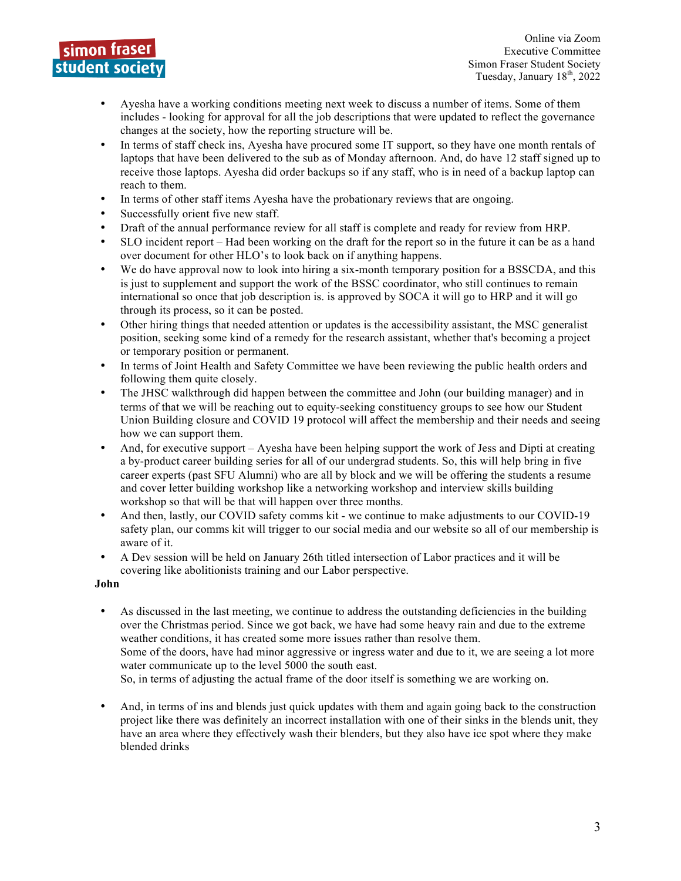

- Ayesha have a working conditions meeting next week to discuss a number of items. Some of them includes - looking for approval for all the job descriptions that were updated to reflect the governance changes at the society, how the reporting structure will be.
- In terms of staff check ins, Ayesha have procured some IT support, so they have one month rentals of laptops that have been delivered to the sub as of Monday afternoon. And, do have 12 staff signed up to receive those laptops. Ayesha did order backups so if any staff, who is in need of a backup laptop can reach to them.
- In terms of other staff items Ayesha have the probationary reviews that are ongoing.
- Successfully orient five new staff.
- Draft of the annual performance review for all staff is complete and ready for review from HRP.
- SLO incident report Had been working on the draft for the report so in the future it can be as a hand over document for other HLO's to look back on if anything happens.
- We do have approval now to look into hiring a six-month temporary position for a BSSCDA, and this is just to supplement and support the work of the BSSC coordinator, who still continues to remain international so once that job description is. is approved by SOCA it will go to HRP and it will go through its process, so it can be posted.
- Other hiring things that needed attention or updates is the accessibility assistant, the MSC generalist position, seeking some kind of a remedy for the research assistant, whether that's becoming a project or temporary position or permanent.
- In terms of Joint Health and Safety Committee we have been reviewing the public health orders and following them quite closely.
- The JHSC walkthrough did happen between the committee and John (our building manager) and in terms of that we will be reaching out to equity-seeking constituency groups to see how our Student Union Building closure and COVID 19 protocol will affect the membership and their needs and seeing how we can support them.
- And, for executive support Ayesha have been helping support the work of Jess and Dipti at creating a by-product career building series for all of our undergrad students. So, this will help bring in five career experts (past SFU Alumni) who are all by block and we will be offering the students a resume and cover letter building workshop like a networking workshop and interview skills building workshop so that will be that will happen over three months.
- And then, lastly, our COVID safety comms kit we continue to make adjustments to our COVID-19 safety plan, our comms kit will trigger to our social media and our website so all of our membership is aware of it.
- A Dev session will be held on January 26th titled intersection of Labor practices and it will be covering like abolitionists training and our Labor perspective.

#### **John**

• As discussed in the last meeting, we continue to address the outstanding deficiencies in the building over the Christmas period. Since we got back, we have had some heavy rain and due to the extreme weather conditions, it has created some more issues rather than resolve them. Some of the doors, have had minor aggressive or ingress water and due to it, we are seeing a lot more water communicate up to the level 5000 the south east.

So, in terms of adjusting the actual frame of the door itself is something we are working on.

• And, in terms of ins and blends just quick updates with them and again going back to the construction project like there was definitely an incorrect installation with one of their sinks in the blends unit, they have an area where they effectively wash their blenders, but they also have ice spot where they make blended drinks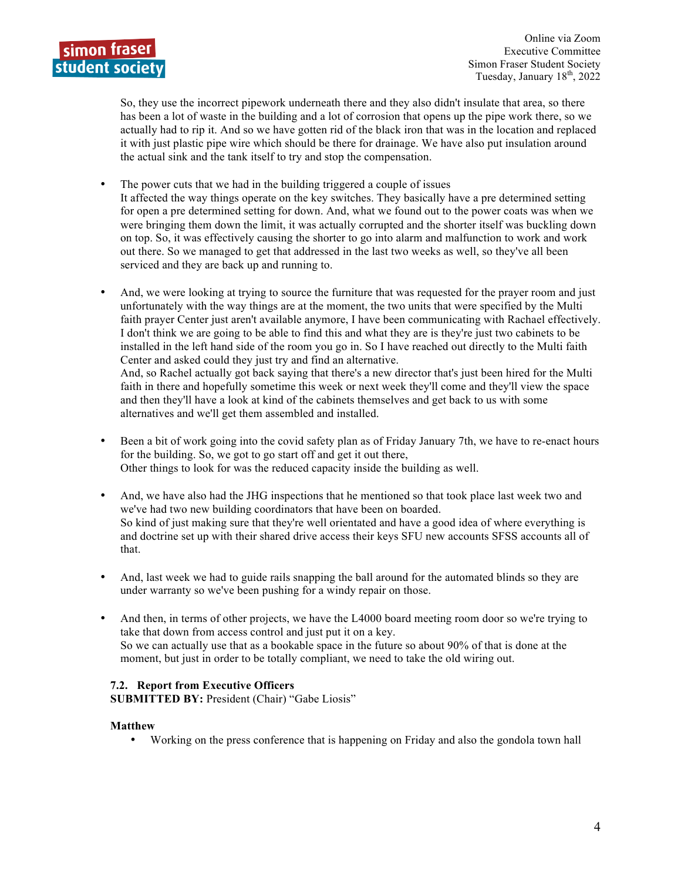

So, they use the incorrect pipework underneath there and they also didn't insulate that area, so there has been a lot of waste in the building and a lot of corrosion that opens up the pipe work there, so we actually had to rip it. And so we have gotten rid of the black iron that was in the location and replaced it with just plastic pipe wire which should be there for drainage. We have also put insulation around the actual sink and the tank itself to try and stop the compensation.

- The power cuts that we had in the building triggered a couple of issues It affected the way things operate on the key switches. They basically have a pre determined setting for open a pre determined setting for down. And, what we found out to the power coats was when we were bringing them down the limit, it was actually corrupted and the shorter itself was buckling down on top. So, it was effectively causing the shorter to go into alarm and malfunction to work and work out there. So we managed to get that addressed in the last two weeks as well, so they've all been serviced and they are back up and running to.
- And, we were looking at trying to source the furniture that was requested for the prayer room and just unfortunately with the way things are at the moment, the two units that were specified by the Multi faith prayer Center just aren't available anymore, I have been communicating with Rachael effectively. I don't think we are going to be able to find this and what they are is they're just two cabinets to be installed in the left hand side of the room you go in. So I have reached out directly to the Multi faith Center and asked could they just try and find an alternative. And, so Rachel actually got back saying that there's a new director that's just been hired for the Multi faith in there and hopefully sometime this week or next week they'll come and they'll view the space

and then they'll have a look at kind of the cabinets themselves and get back to us with some alternatives and we'll get them assembled and installed.

- Been a bit of work going into the covid safety plan as of Friday January 7th, we have to re-enact hours for the building. So, we got to go start off and get it out there, Other things to look for was the reduced capacity inside the building as well.
- And, we have also had the JHG inspections that he mentioned so that took place last week two and we've had two new building coordinators that have been on boarded. So kind of just making sure that they're well orientated and have a good idea of where everything is and doctrine set up with their shared drive access their keys SFU new accounts SFSS accounts all of that.
- And, last week we had to guide rails snapping the ball around for the automated blinds so they are under warranty so we've been pushing for a windy repair on those.
- And then, in terms of other projects, we have the L4000 board meeting room door so we're trying to take that down from access control and just put it on a key. So we can actually use that as a bookable space in the future so about 90% of that is done at the moment, but just in order to be totally compliant, we need to take the old wiring out.

#### **7.2. Report from Executive Officers**

**SUBMITTED BY:** President (Chair) "Gabe Liosis"

#### **Matthew**

• Working on the press conference that is happening on Friday and also the gondola town hall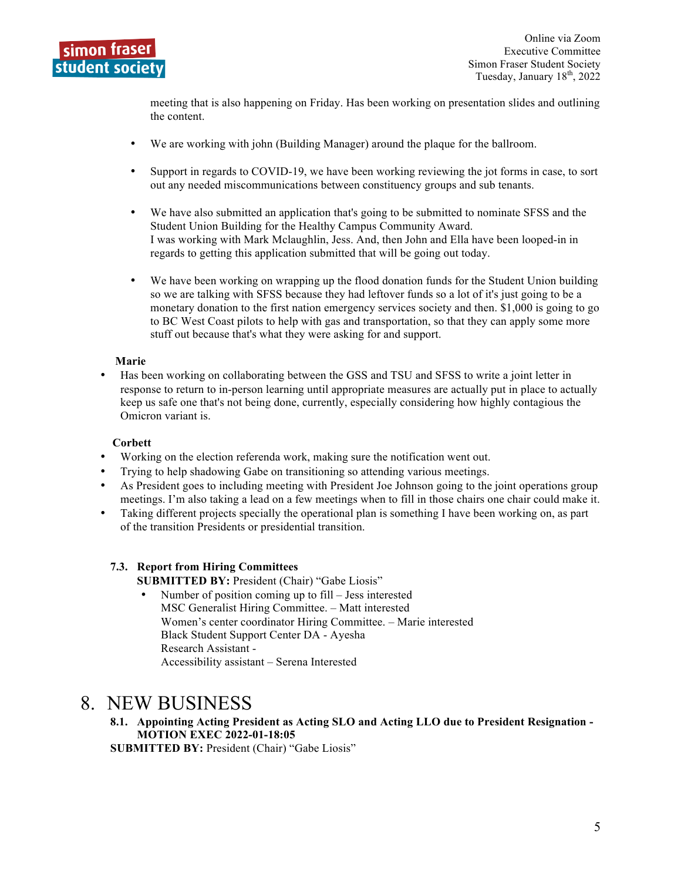

meeting that is also happening on Friday. Has been working on presentation slides and outlining the content.

- We are working with john (Building Manager) around the plaque for the ballroom.
- Support in regards to COVID-19, we have been working reviewing the jot forms in case, to sort out any needed miscommunications between constituency groups and sub tenants.
- We have also submitted an application that's going to be submitted to nominate SFSS and the Student Union Building for the Healthy Campus Community Award. I was working with Mark Mclaughlin, Jess. And, then John and Ella have been looped-in in regards to getting this application submitted that will be going out today.
- We have been working on wrapping up the flood donation funds for the Student Union building so we are talking with SFSS because they had leftover funds so a lot of it's just going to be a monetary donation to the first nation emergency services society and then. \$1,000 is going to go to BC West Coast pilots to help with gas and transportation, so that they can apply some more stuff out because that's what they were asking for and support.

#### **Marie**

• Has been working on collaborating between the GSS and TSU and SFSS to write a joint letter in response to return to in-person learning until appropriate measures are actually put in place to actually keep us safe one that's not being done, currently, especially considering how highly contagious the Omicron variant is.

#### **Corbett**

- Working on the election referenda work, making sure the notification went out.
- Trying to help shadowing Gabe on transitioning so attending various meetings.
- As President goes to including meeting with President Joe Johnson going to the joint operations group meetings. I'm also taking a lead on a few meetings when to fill in those chairs one chair could make it.
- Taking different projects specially the operational plan is something I have been working on, as part of the transition Presidents or presidential transition.

#### **7.3. Report from Hiring Committees**

**SUBMITTED BY:** President (Chair) "Gabe Liosis"

• Number of position coming up to fill – Jess interested MSC Generalist Hiring Committee. – Matt interested Women's center coordinator Hiring Committee. – Marie interested Black Student Support Center DA - Ayesha Research Assistant - Accessibility assistant – Serena Interested

### 8. NEW BUSINESS

**8.1. Appointing Acting President as Acting SLO and Acting LLO due to President Resignation - MOTION EXEC 2022-01-18:05**

**SUBMITTED BY: President (Chair) "Gabe Liosis"**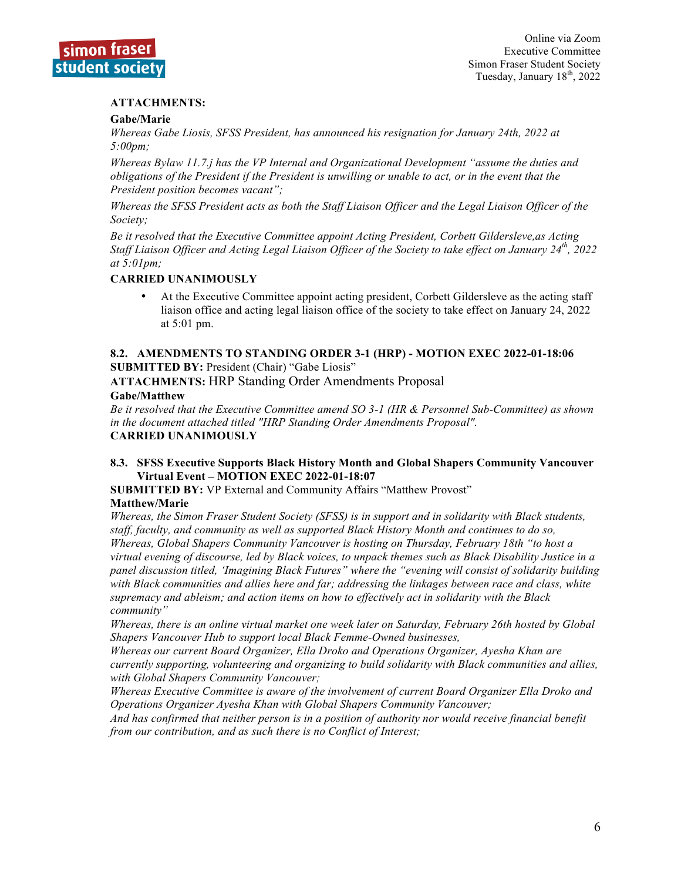

#### **ATTACHMENTS:**

#### **Gabe/Marie**

*Whereas Gabe Liosis, SFSS President, has announced his resignation for January 24th, 2022 at 5:00pm;*

*Whereas Bylaw 11.7.j has the VP Internal and Organizational Development "assume the duties and obligations of the President if the President is unwilling or unable to act, or in the event that the President position becomes vacant";*

*Whereas the SFSS President acts as both the Staff Liaison Officer and the Legal Liaison Officer of the Society;*

*Be it resolved that the Executive Committee appoint Acting President, Corbett Gildersleve,as Acting Staff Liaison Officer and Acting Legal Liaison Officer of the Society to take effect on January 24th, 2022 at 5:01pm;*

#### **CARRIED UNANIMOUSLY**

• At the Executive Committee appoint acting president, Corbett Gildersleve as the acting staff liaison office and acting legal liaison office of the society to take effect on January 24, 2022 at 5:01 pm.

#### **8.2. AMENDMENTS TO STANDING ORDER 3-1 (HRP) - MOTION EXEC 2022-01-18:06 SUBMITTED BY:** President (Chair) "Gabe Liosis"

**ATTACHMENTS:** HRP Standing Order Amendments Proposal

#### **Gabe/Matthew**

*Be it resolved that the Executive Committee amend SO 3-1 (HR & Personnel Sub-Committee) as shown in the document attached titled "HRP Standing Order Amendments Proposal".* **CARRIED UNANIMOUSLY**

#### **8.3. SFSS Executive Supports Black History Month and Global Shapers Community Vancouver Virtual Event – MOTION EXEC 2022-01-18:07**

**SUBMITTED BY:** VP External and Community Affairs "Matthew Provost" **Matthew/Marie**

*Whereas, the Simon Fraser Student Society (SFSS) is in support and in solidarity with Black students, staff, faculty, and community as well as supported Black History Month and continues to do so, Whereas, Global Shapers Community Vancouver is hosting on Thursday, February 18th "to host a virtual evening of discourse, led by Black voices, to unpack themes such as Black Disability Justice in a panel discussion titled, 'Imagining Black Futures" where the "evening will consist of solidarity building with Black communities and allies here and far; addressing the linkages between race and class, white supremacy and ableism; and action items on how to effectively act in solidarity with the Black community"*

*Whereas, there is an online virtual market one week later on Saturday, February 26th hosted by Global Shapers Vancouver Hub to support local Black Femme-Owned businesses,* 

*Whereas our current Board Organizer, Ella Droko and Operations Organizer, Ayesha Khan are currently supporting, volunteering and organizing to build solidarity with Black communities and allies, with Global Shapers Community Vancouver;*

*Whereas Executive Committee is aware of the involvement of current Board Organizer Ella Droko and Operations Organizer Ayesha Khan with Global Shapers Community Vancouver;*

*And has confirmed that neither person is in a position of authority nor would receive financial benefit from our contribution, and as such there is no Conflict of Interest;*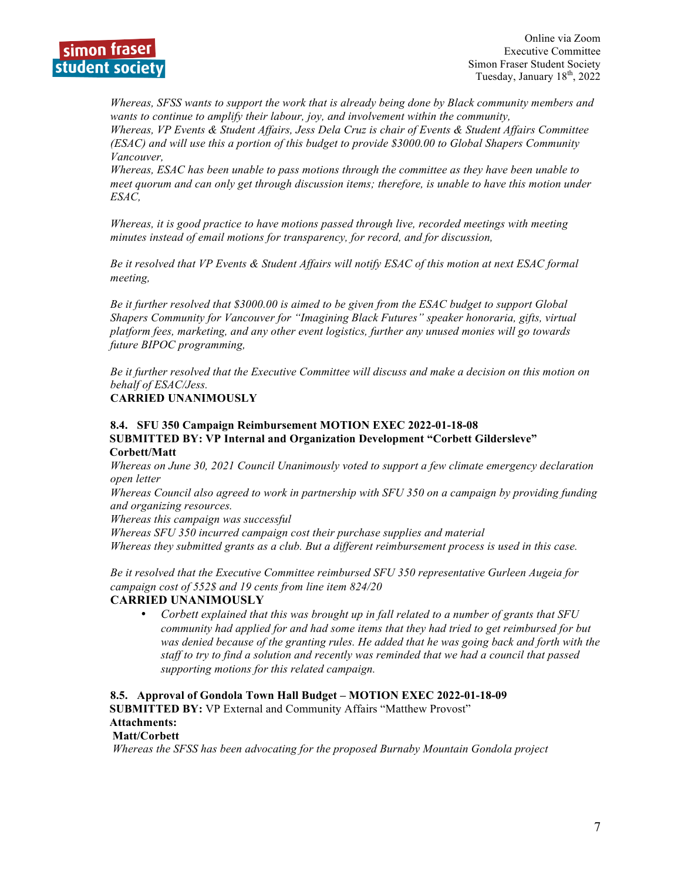

*Whereas, SFSS wants to support the work that is already being done by Black community members and wants to continue to amplify their labour, joy, and involvement within the community,*

*Whereas, VP Events & Student Affairs, Jess Dela Cruz is chair of Events & Student Affairs Committee (ESAC) and will use this a portion of this budget to provide \$3000.00 to Global Shapers Community Vancouver,* 

*Whereas, ESAC has been unable to pass motions through the committee as they have been unable to meet quorum and can only get through discussion items; therefore, is unable to have this motion under ESAC,* 

*Whereas, it is good practice to have motions passed through live, recorded meetings with meeting minutes instead of email motions for transparency, for record, and for discussion,*

*Be it resolved that VP Events & Student Affairs will notify ESAC of this motion at next ESAC formal meeting,* 

*Be it further resolved that \$3000.00 is aimed to be given from the ESAC budget to support Global Shapers Community for Vancouver for "Imagining Black Futures" speaker honoraria, gifts, virtual platform fees, marketing, and any other event logistics, further any unused monies will go towards future BIPOC programming,*

*Be it further resolved that the Executive Committee will discuss and make a decision on this motion on behalf of ESAC/Jess.*

#### **CARRIED UNANIMOUSLY**

#### **8.4. SFU 350 Campaign Reimbursement MOTION EXEC 2022-01-18-08 SUBMITTED BY: VP Internal and Organization Development "Corbett Gildersleve" Corbett/Matt**

*Whereas on June 30, 2021 Council Unanimously voted to support a few climate emergency declaration open letter*

*Whereas Council also agreed to work in partnership with SFU 350 on a campaign by providing funding and organizing resources.* 

*Whereas this campaign was successful*

*Whereas SFU 350 incurred campaign cost their purchase supplies and material Whereas they submitted grants as a club. But a different reimbursement process is used in this case.*

*Be it resolved that the Executive Committee reimbursed SFU 350 representative Gurleen Augeia for campaign cost of 552\$ and 19 cents from line item 824/20*

#### **CARRIED UNANIMOUSLY**

• *Corbett explained that this was brought up in fall related to a number of grants that SFU community had applied for and had some items that they had tried to get reimbursed for but was denied because of the granting rules. He added that he was going back and forth with the staff to try to find a solution and recently was reminded that we had a council that passed supporting motions for this related campaign.* 

**8.5. Approval of Gondola Town Hall Budget – MOTION EXEC 2022-01-18-09**

 **SUBMITTED BY:** VP External and Community Affairs "Matthew Provost"

#### **Attachments:**

#### **Matt/Corbett**

*Whereas the SFSS has been advocating for the proposed Burnaby Mountain Gondola project*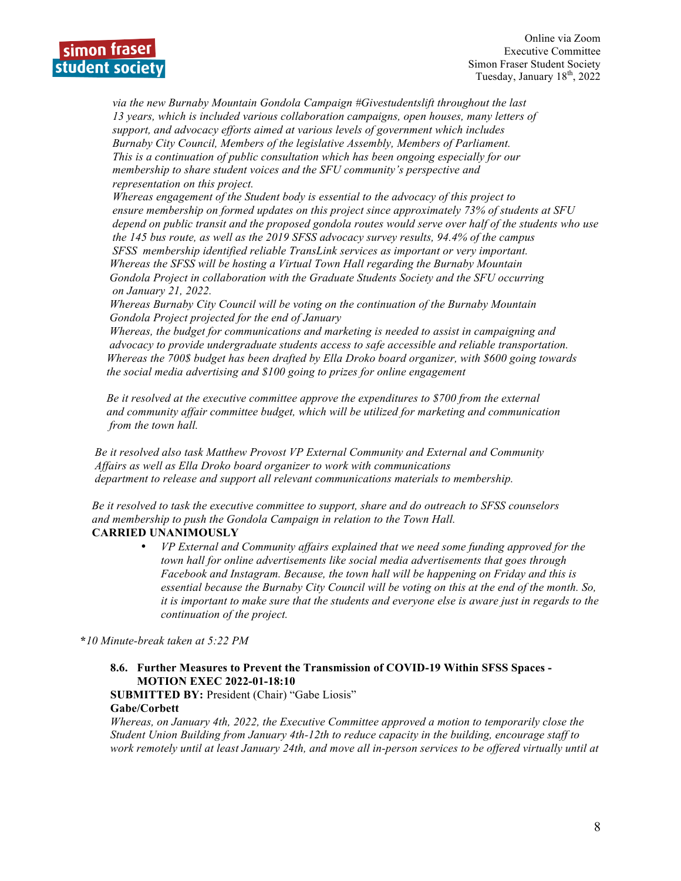

 *via the new Burnaby Mountain Gondola Campaign #Givestudentslift throughout the last 13 years, which is included various collaboration campaigns, open houses, many letters of support, and advocacy efforts aimed at various levels of government which includes Burnaby City Council, Members of the legislative Assembly, Members of Parliament. This is a continuation of public consultation which has been ongoing especially for our membership to share student voices and the SFU community's perspective and representation on this project.* 

 *Whereas engagement of the Student body is essential to the advocacy of this project to ensure membership on formed updates on this project since approximately 73% of students at SFU depend on public transit and the proposed gondola routes would serve over half of the students who use the 145 bus route, as well as the 2019 SFSS advocacy survey results, 94.4% of the campus SFSS membership identified reliable TransLink services as important or very important. Whereas the SFSS will be hosting a Virtual Town Hall regarding the Burnaby Mountain Gondola Project in collaboration with the Graduate Students Society and the SFU occurring on January 21, 2022.*

 *Whereas Burnaby City Council will be voting on the continuation of the Burnaby Mountain Gondola Project projected for the end of January*

 *Whereas, the budget for communications and marketing is needed to assist in campaigning and advocacy to provide undergraduate students access to safe accessible and reliable transportation. Whereas the 700\$ budget has been drafted by Ella Droko board organizer, with \$600 going towards the social media advertising and \$100 going to prizes for online engagement*

 *Be it resolved at the executive committee approve the expenditures to \$700 from the external and community affair committee budget, which will be utilized for marketing and communication from the town hall.*

 *Be it resolved also task Matthew Provost VP External Community and External and Community Affairs as well as Ella Droko board organizer to work with communications department to release and support all relevant communications materials to membership.*

 *Be it resolved to task the executive committee to support, share and do outreach to SFSS counselors and membership to push the Gondola Campaign in relation to the Town Hall.*  **CARRIED UNANIMOUSLY**

> • *VP External and Community affairs explained that we need some funding approved for the town hall for online advertisements like social media advertisements that goes through Facebook and Instagram. Because, the town hall will be happening on Friday and this is essential because the Burnaby City Council will be voting on this at the end of the month. So, it is important to make sure that the students and everyone else is aware just in regards to the continuation of the project.*

**\****10 Minute-break taken at 5:22 PM*

#### **8.6. Further Measures to Prevent the Transmission of COVID-19 Within SFSS Spaces - MOTION EXEC 2022-01-18:10**

**SUBMITTED BY:** President (Chair) "Gabe Liosis" **Gabe/Corbett**

*Whereas, on January 4th, 2022, the Executive Committee approved a motion to temporarily close the Student Union Building from January 4th-12th to reduce capacity in the building, encourage staff to work remotely until at least January 24th, and move all in-person services to be offered virtually until at*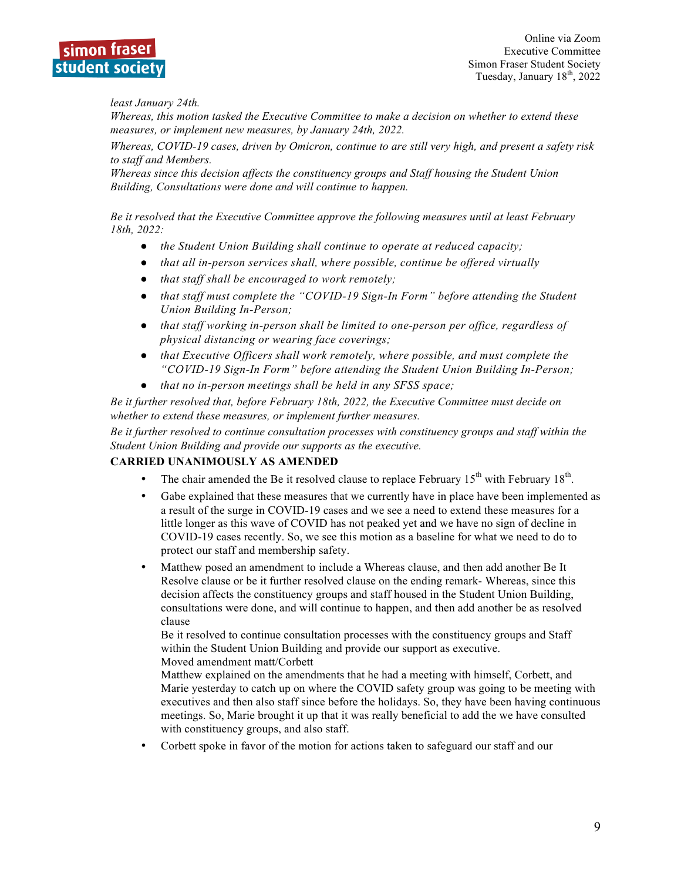

*least January 24th.*

*Whereas, this motion tasked the Executive Committee to make a decision on whether to extend these measures, or implement new measures, by January 24th, 2022.*

*Whereas, COVID-19 cases, driven by Omicron, continue to are still very high, and present a safety risk to staff and Members.*

*Whereas since this decision affects the constituency groups and Staff housing the Student Union Building, Consultations were done and will continue to happen.*

*Be it resolved that the Executive Committee approve the following measures until at least February 18th, 2022:*

- *the Student Union Building shall continue to operate at reduced capacity;*
- *that all in-person services shall, where possible, continue be offered virtually*
- *that staff shall be encouraged to work remotely;*
- *that staff must complete the "COVID-19 Sign-In Form" before attending the Student Union Building In-Person;*
- *that staff working in-person shall be limited to one-person per office, regardless of physical distancing or wearing face coverings;*
- *that Executive Officers shall work remotely, where possible, and must complete the "COVID-19 Sign-In Form" before attending the Student Union Building In-Person;*
- *that no in-person meetings shall be held in any SFSS space;*

*Be it further resolved that, before February 18th, 2022, the Executive Committee must decide on whether to extend these measures, or implement further measures.*

*Be it further resolved to continue consultation processes with constituency groups and staff within the Student Union Building and provide our supports as the executive.*

#### **CARRIED UNANIMOUSLY AS AMENDED**

- The chair amended the Be it resolved clause to replace February  $15<sup>th</sup>$  with February  $18<sup>th</sup>$ .
- Gabe explained that these measures that we currently have in place have been implemented as a result of the surge in COVID-19 cases and we see a need to extend these measures for a little longer as this wave of COVID has not peaked yet and we have no sign of decline in COVID-19 cases recently. So, we see this motion as a baseline for what we need to do to protect our staff and membership safety.
- Matthew posed an amendment to include a Whereas clause, and then add another Be It Resolve clause or be it further resolved clause on the ending remark- Whereas, since this decision affects the constituency groups and staff housed in the Student Union Building, consultations were done, and will continue to happen, and then add another be as resolved clause

Be it resolved to continue consultation processes with the constituency groups and Staff within the Student Union Building and provide our support as executive.

Moved amendment matt/Corbett

Matthew explained on the amendments that he had a meeting with himself, Corbett, and Marie yesterday to catch up on where the COVID safety group was going to be meeting with executives and then also staff since before the holidays. So, they have been having continuous meetings. So, Marie brought it up that it was really beneficial to add the we have consulted with constituency groups, and also staff.

• Corbett spoke in favor of the motion for actions taken to safeguard our staff and our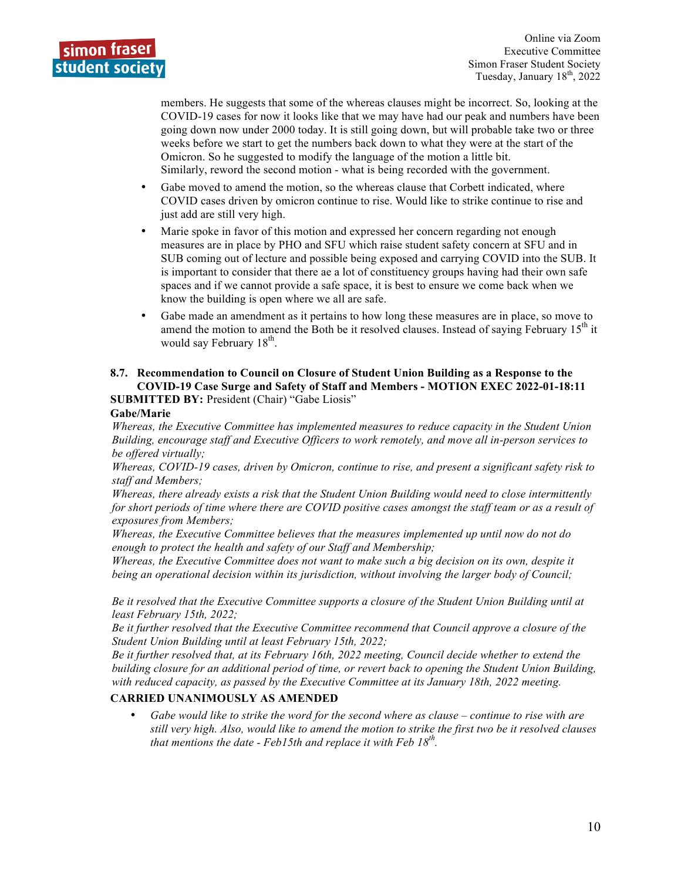members. He suggests that some of the whereas clauses might be incorrect. So, looking at the COVID-19 cases for now it looks like that we may have had our peak and numbers have been going down now under 2000 today. It is still going down, but will probable take two or three weeks before we start to get the numbers back down to what they were at the start of the Omicron. So he suggested to modify the language of the motion a little bit. Similarly, reword the second motion - what is being recorded with the government.

- Gabe moved to amend the motion, so the whereas clause that Corbett indicated, where COVID cases driven by omicron continue to rise. Would like to strike continue to rise and just add are still very high.
- Marie spoke in favor of this motion and expressed her concern regarding not enough measures are in place by PHO and SFU which raise student safety concern at SFU and in SUB coming out of lecture and possible being exposed and carrying COVID into the SUB. It is important to consider that there ae a lot of constituency groups having had their own safe spaces and if we cannot provide a safe space, it is best to ensure we come back when we know the building is open where we all are safe.
- Gabe made an amendment as it pertains to how long these measures are in place, so move to amend the motion to amend the Both be it resolved clauses. Instead of saying February  $15<sup>th</sup>$  it would say February 18<sup>th</sup>.

#### **8.7. Recommendation to Council on Closure of Student Union Building as a Response to the COVID-19 Case Surge and Safety of Staff and Members - MOTION EXEC 2022-01-18:11 SUBMITTED BY:** President (Chair) "Gabe Liosis"

#### **Gabe/Marie**

*Whereas, the Executive Committee has implemented measures to reduce capacity in the Student Union Building, encourage staff and Executive Officers to work remotely, and move all in-person services to be offered virtually;*

*Whereas, COVID-19 cases, driven by Omicron, continue to rise, and present a significant safety risk to staff and Members;*

*Whereas, there already exists a risk that the Student Union Building would need to close intermittently for short periods of time where there are COVID positive cases amongst the staff team or as a result of exposures from Members;*

*Whereas, the Executive Committee believes that the measures implemented up until now do not do enough to protect the health and safety of our Staff and Membership;*

*Whereas, the Executive Committee does not want to make such a big decision on its own, despite it being an operational decision within its jurisdiction, without involving the larger body of Council;*

*Be it resolved that the Executive Committee supports a closure of the Student Union Building until at least February 15th, 2022;*

*Be it further resolved that the Executive Committee recommend that Council approve a closure of the Student Union Building until at least February 15th, 2022;*

*Be it further resolved that, at its February 16th, 2022 meeting, Council decide whether to extend the building closure for an additional period of time, or revert back to opening the Student Union Building, with reduced capacity, as passed by the Executive Committee at its January 18th, 2022 meeting.*

#### **CARRIED UNANIMOUSLY AS AMENDED**

• *Gabe would like to strike the word for the second where as clause – continue to rise with are still very high. Also, would like to amend the motion to strike the first two be it resolved clauses that mentions the date - Feb15th and replace it with Feb 18th.*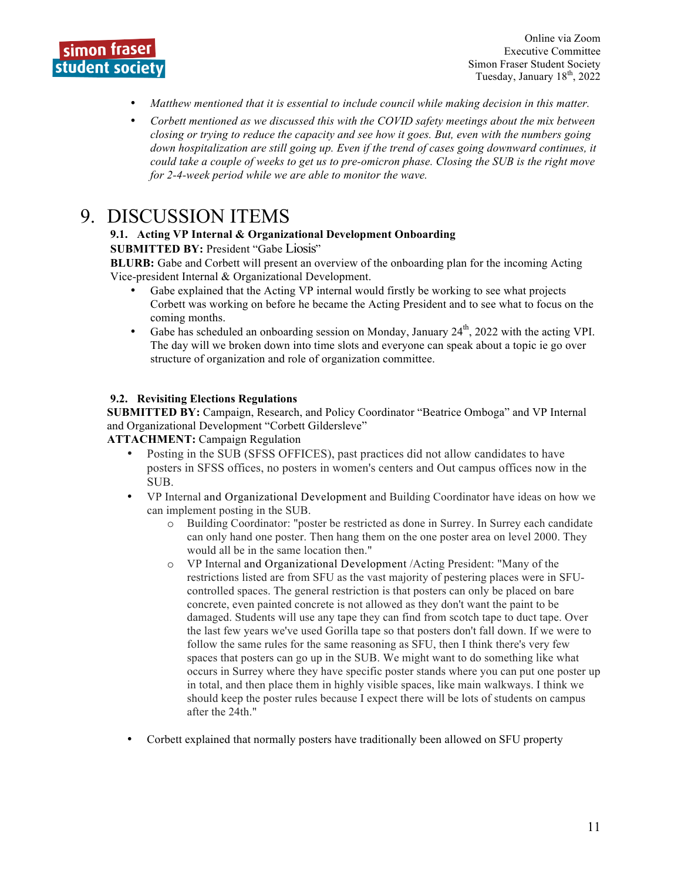

- *Matthew mentioned that it is essential to include council while making decision in this matter.*
- *Corbett mentioned as we discussed this with the COVID safety meetings about the mix between closing or trying to reduce the capacity and see how it goes. But, even with the numbers going down hospitalization are still going up. Even if the trend of cases going downward continues, it could take a couple of weeks to get us to pre-omicron phase. Closing the SUB is the right move for 2-4-week period while we are able to monitor the wave.*

## 9. DISCUSSION ITEMS

#### **9.1. Acting VP Internal & Organizational Development Onboarding**

**SUBMITTED BY: President "Gabe Liosis"** 

**BLURB:** Gabe and Corbett will present an overview of the onboarding plan for the incoming Acting Vice-president Internal & Organizational Development.

- Gabe explained that the Acting VP internal would firstly be working to see what projects Corbett was working on before he became the Acting President and to see what to focus on the coming months.
- Gabe has scheduled an onboarding session on Monday, January  $24<sup>th</sup>$ , 2022 with the acting VPI. The day will we broken down into time slots and everyone can speak about a topic ie go over structure of organization and role of organization committee.

#### **9.2. Revisiting Elections Regulations**

**SUBMITTED BY:** Campaign, Research, and Policy Coordinator "Beatrice Omboga" and VP Internal and Organizational Development "Corbett Gildersleve"

**ATTACHMENT:** Campaign Regulation

- Posting in the SUB (SFSS OFFICES), past practices did not allow candidates to have posters in SFSS offices, no posters in women's centers and Out campus offices now in the SUB.
- VP Internal and Organizational Development and Building Coordinator have ideas on how we can implement posting in the SUB.
	- o Building Coordinator: "poster be restricted as done in Surrey. In Surrey each candidate can only hand one poster. Then hang them on the one poster area on level 2000. They would all be in the same location then."
	- o VP Internal and Organizational Development /Acting President: "Many of the restrictions listed are from SFU as the vast majority of pestering places were in SFUcontrolled spaces. The general restriction is that posters can only be placed on bare concrete, even painted concrete is not allowed as they don't want the paint to be damaged. Students will use any tape they can find from scotch tape to duct tape. Over the last few years we've used Gorilla tape so that posters don't fall down. If we were to follow the same rules for the same reasoning as SFU, then I think there's very few spaces that posters can go up in the SUB. We might want to do something like what occurs in Surrey where they have specific poster stands where you can put one poster up in total, and then place them in highly visible spaces, like main walkways. I think we should keep the poster rules because I expect there will be lots of students on campus after the 24th."
- Corbett explained that normally posters have traditionally been allowed on SFU property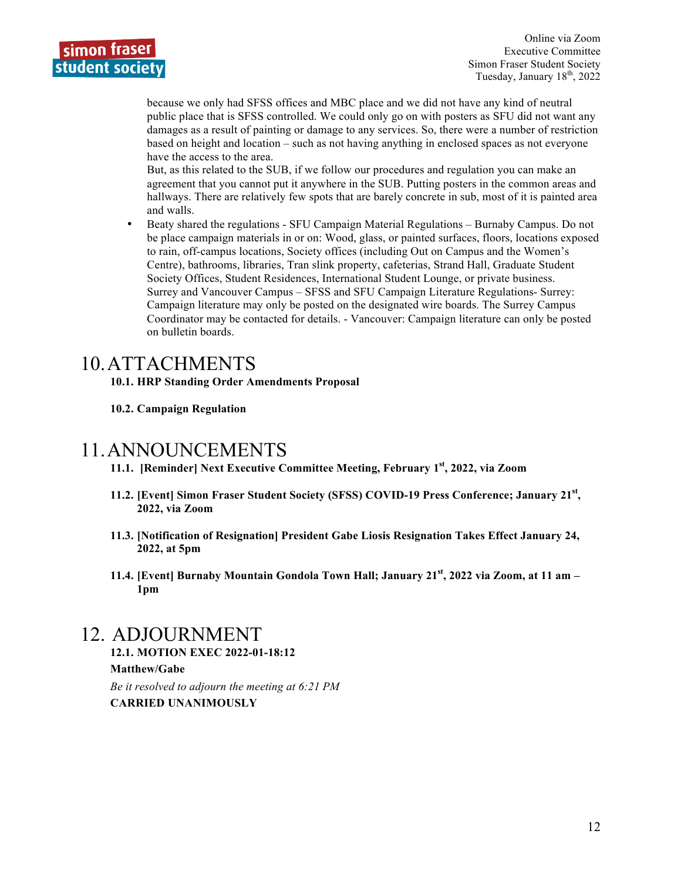

because we only had SFSS offices and MBC place and we did not have any kind of neutral public place that is SFSS controlled. We could only go on with posters as SFU did not want any damages as a result of painting or damage to any services. So, there were a number of restriction based on height and location – such as not having anything in enclosed spaces as not everyone have the access to the area.

But, as this related to the SUB, if we follow our procedures and regulation you can make an agreement that you cannot put it anywhere in the SUB. Putting posters in the common areas and hallways. There are relatively few spots that are barely concrete in sub, most of it is painted area and walls.

• Beaty shared the regulations - SFU Campaign Material Regulations – Burnaby Campus. Do not be place campaign materials in or on: Wood, glass, or painted surfaces, floors, locations exposed to rain, off-campus locations, Society offices (including Out on Campus and the Women's Centre), bathrooms, libraries, Tran slink property, cafeterias, Strand Hall, Graduate Student Society Offices, Student Residences, International Student Lounge, or private business. Surrey and Vancouver Campus – SFSS and SFU Campaign Literature Regulations- Surrey: Campaign literature may only be posted on the designated wire boards. The Surrey Campus Coordinator may be contacted for details. - Vancouver: Campaign literature can only be posted on bulletin boards.

## 10.ATTACHMENTS

**10.1. HRP Standing Order Amendments Proposal**

#### **10.2. Campaign Regulation**

### 11.ANNOUNCEMENTS

**11.1. [Reminder] Next Executive Committee Meeting, February 1st, 2022, via Zoom**

- **11.2. [Event] Simon Fraser Student Society (SFSS) COVID-19 Press Conference; January 21st, 2022, via Zoom**
- **11.3. [Notification of Resignation] President Gabe Liosis Resignation Takes Effect January 24, 2022, at 5pm**
- **11.4. [Event] Burnaby Mountain Gondola Town Hall; January 21st, 2022 via Zoom, at 11 am – 1pm**

## 12. ADJOURNMENT

**12.1. MOTION EXEC 2022-01-18:12 Matthew/Gabe** *Be it resolved to adjourn the meeting at 6:21 PM* **CARRIED UNANIMOUSLY**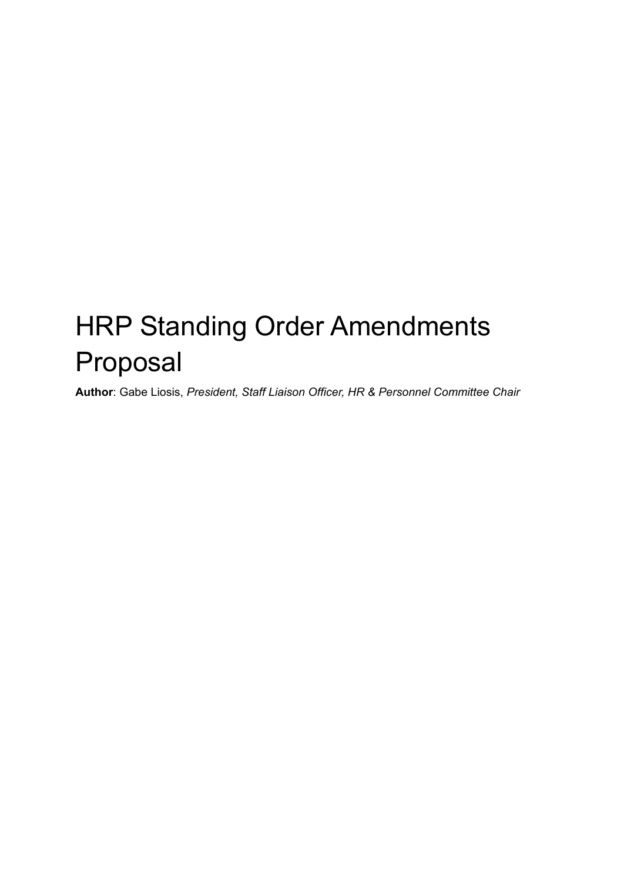# HRP Standing Order Amendments Proposal

**Author**: Gabe Liosis, *President, Staff Liaison Officer, HR & Personnel Committee Chair*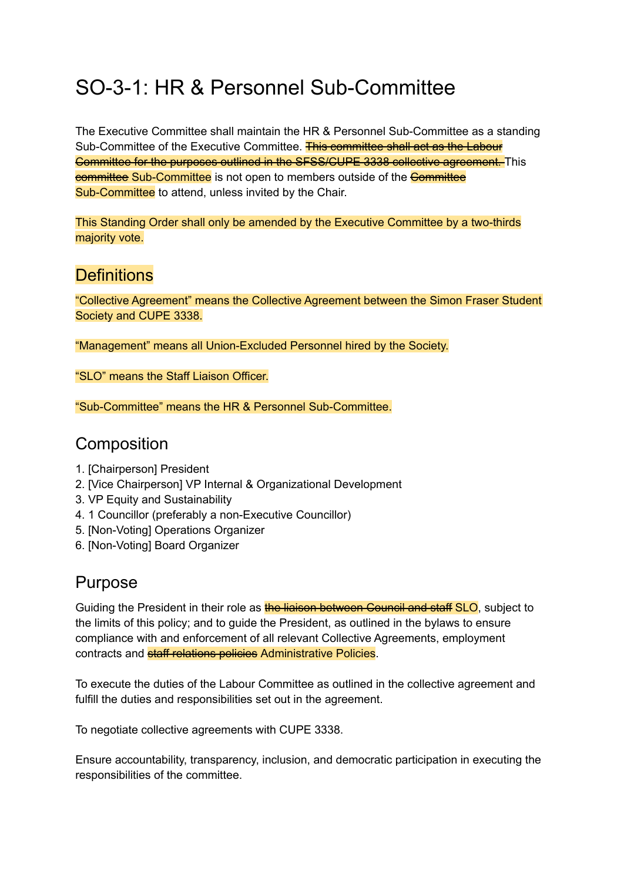## SO-3-1: HR & Personnel Sub-Committee

The Executive Committee shall maintain the HR & Personnel Sub-Committee as a standing Sub-Committee of the Executive Committee. This committee shall act as the Labour Committee for the purposes outlined in the SFSS/CUPE 3338 collective agreement. This eommittee Sub-Committee is not open to members outside of the **Committee** Sub-Committee to attend, unless invited by the Chair.

This Standing Order shall only be amended by the Executive Committee by a two-thirds majority vote.

## **Definitions**

"Collective Agreement" means the Collective Agreement between the Simon Fraser Student Society and CUPE 3338.

"Management" means all Union-Excluded Personnel hired by the Society.

"SLO" means the Staff Liaison Officer.

"Sub-Committee" means the HR & Personnel Sub-Committee.

## **Composition**

- 1. [Chairperson] President
- 2. [Vice Chairperson] VP Internal & Organizational Development
- 3. VP Equity and Sustainability
- 4. 1 Councillor (preferably a non-Executive Councillor)
- 5. [Non-Voting] Operations Organizer
- 6. [Non-Voting] Board Organizer

## Purpose

Guiding the President in their role as the liaison between Council and staff SLO, subject to the limits of this policy; and to guide the President, as outlined in the bylaws to ensure compliance with and enforcement of all relevant Collective Agreements, employment contracts and **staff relations policies** Administrative Policies.

To execute the duties of the Labour Committee as outlined in the collective agreement and fulfill the duties and responsibilities set out in the agreement.

To negotiate collective agreements with CUPE 3338.

Ensure accountability, transparency, inclusion, and democratic participation in executing the responsibilities of the committee.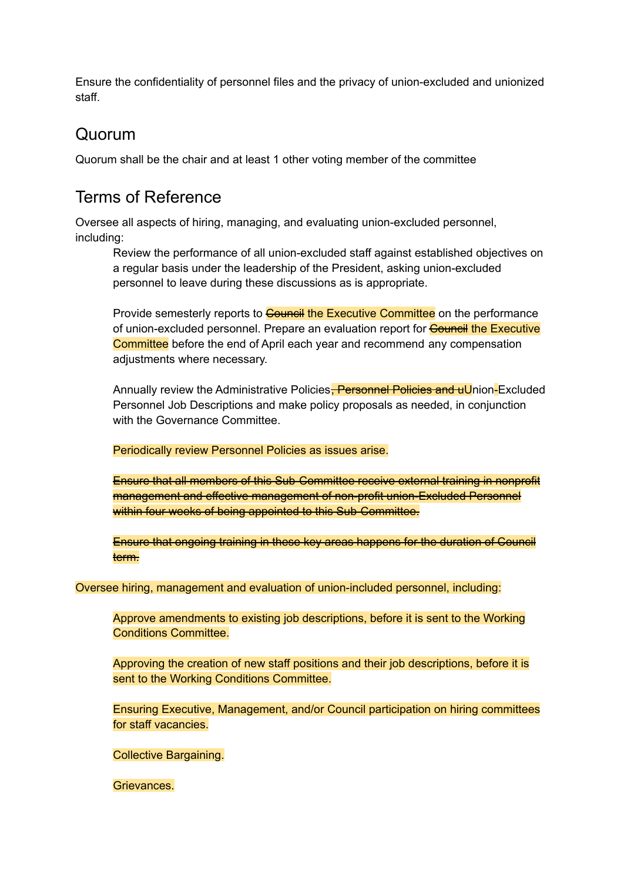Ensure the confidentiality of personnel files and the privacy of union-excluded and unionized staff.

## Quorum

Quorum shall be the chair and at least 1 other voting member of the committee

## Terms of Reference

Oversee all aspects of hiring, managing, and evaluating union-excluded personnel, including:

Review the performance of all union-excluded staff against established objectives on a regular basis under the leadership of the President, asking union-excluded personnel to leave during these discussions as is appropriate.

Provide semesterly reports to **Gouncil the Executive Committee** on the performance of union-excluded personnel. Prepare an evaluation report for **Council the Executive** Committee before the end of April each year and recommend any compensation adjustments where necessary.

Annually review the Administrative Policies, Personnel Policies and uUnion-Excluded Personnel Job Descriptions and make policy proposals as needed, in conjunction with the Governance Committee.

Periodically review Personnel Policies as issues arise.

Ensure that all members of this Sub-Committee receive external training in nonprofit management and effective management of non-profit union-Excluded Personnel within four weeks of being appointed to this Sub-Committee.

Ensure that ongoing training in these key areas happens for the duration of Council term.

Oversee hiring, management and evaluation of union-included personnel, including:

Approve amendments to existing job descriptions, before it is sent to the Working Conditions Committee.

Approving the creation of new staff positions and their job descriptions, before it is sent to the Working Conditions Committee.

Ensuring Executive, Management, and/or Council participation on hiring committees for staff vacancies.

Collective Bargaining.

Grievances.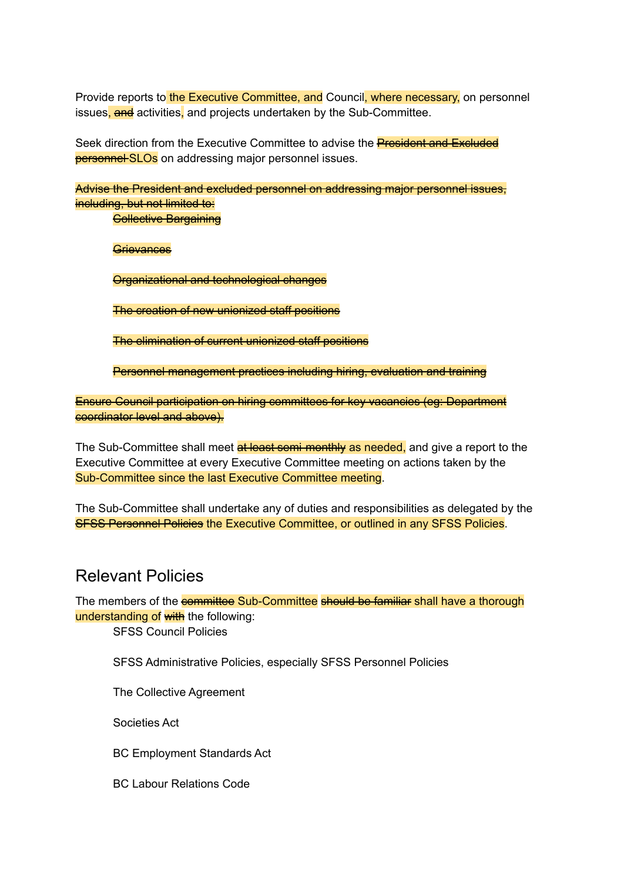Provide reports to the Executive Committee, and Council, where necessary, on personnel issues, and activities, and projects undertaken by the Sub-Committee.

Seek direction from the Executive Committee to advise the **President and Excluded personnel SLOs** on addressing major personnel issues.

Advise the President and excluded personnel on addressing major personnel issues, including, but not limited to:

**Collective Bargaining** 

**Grievances** 

Organizational and technological changes

The creation of new unionized staff positions

The elimination of current unionized staff positions

Personnel management practices including hiring, evaluation and training

Ensure Council participation on hiring committees for key vacancies (eg: Department coordinator level and above).

The Sub-Committee shall meet at least semi-monthly as needed, and give a report to the Executive Committee at every Executive Committee meeting on actions taken by the Sub-Committee since the last Executive Committee meeting.

The Sub-Committee shall undertake any of duties and responsibilities as delegated by the **SFSS Personnel Policies** the Executive Committee, or outlined in any SFSS Policies.

## Relevant Policies

The members of the **committee Sub-Committee should be familiar shall have a thorough** understanding of with the following:

SFSS Council Policies

SFSS Administrative Policies, especially SFSS Personnel Policies

The Collective Agreement

Societies Act

BC Employment Standards Act

BC Labour Relations Code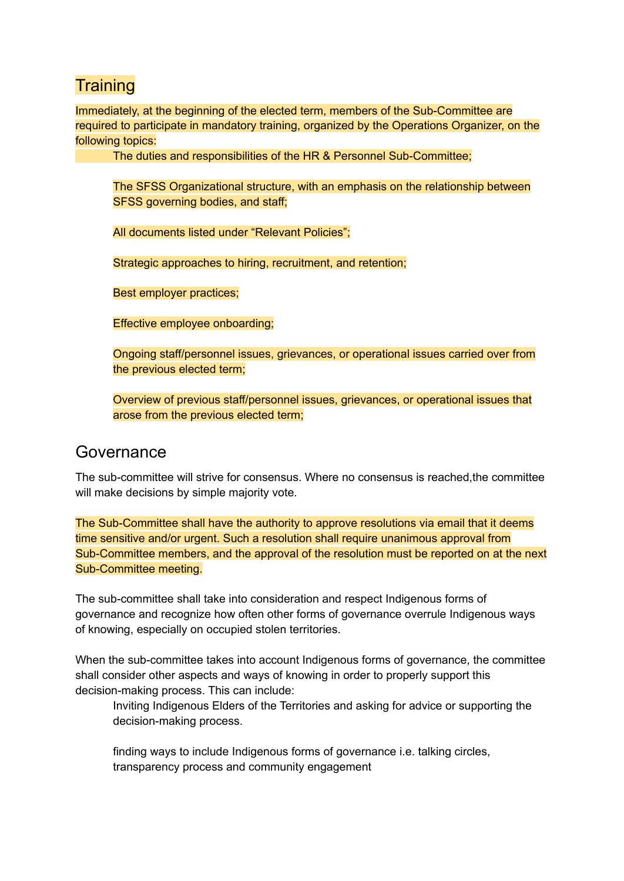## **Training**

Immediately, at the beginning of the elected term, members of the Sub-Committee are required to participate in mandatory training, organized by the Operations Organizer, on the following topics:

The duties and responsibilities of the HR & Personnel Sub-Committee;

The SFSS Organizational structure, with an emphasis on the relationship between SFSS governing bodies, and staff;

All documents listed under "Relevant Policies";

Strategic approaches to hiring, recruitment, and retention;

Best employer practices;

Effective employee onboarding;

Ongoing staff/personnel issues, grievances, or operational issues carried over from the previous elected term;

Overview of previous staff/personnel issues, grievances, or operational issues that arose from the previous elected term;

### Governance

The sub-committee will strive for consensus. Where no consensus is reached,the committee will make decisions by simple majority vote.

The Sub-Committee shall have the authority to approve resolutions via email that it deems time sensitive and/or urgent. Such a resolution shall require unanimous approval from Sub-Committee members, and the approval of the resolution must be reported on at the next Sub-Committee meeting.

The sub-committee shall take into consideration and respect Indigenous forms of governance and recognize how often other forms of governance overrule Indigenous ways of knowing, especially on occupied stolen territories.

When the sub-committee takes into account Indigenous forms of governance, the committee shall consider other aspects and ways of knowing in order to properly support this decision-making process. This can include:

Inviting Indigenous Elders of the Territories and asking for advice or supporting the decision-making process.

finding ways to include Indigenous forms of governance i.e. talking circles, transparency process and community engagement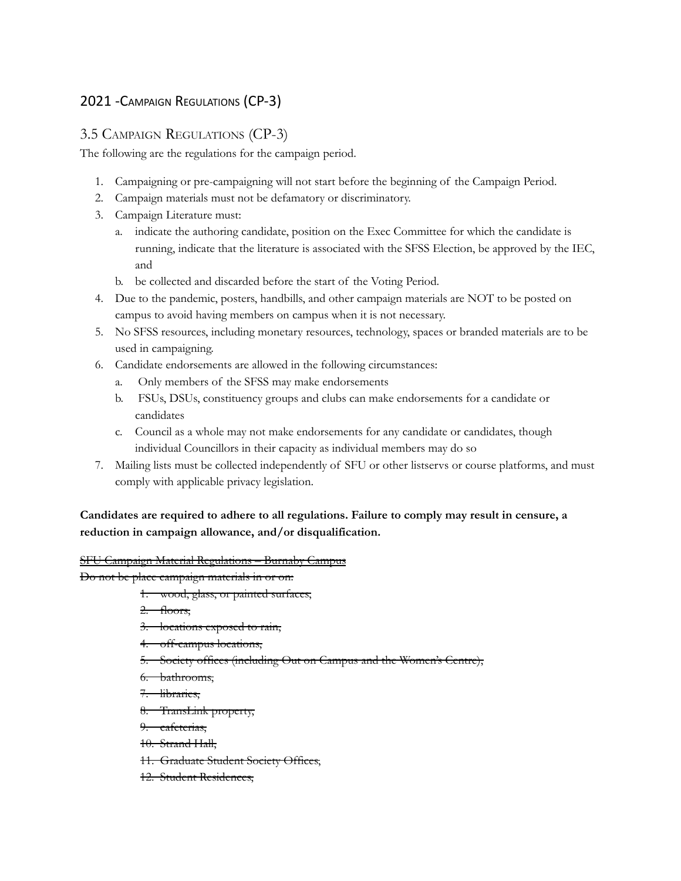#### 2021 -CAMPAIGN REGULATIONS (CP-3)

#### 3.5 CAMPAIGN REGULATIONS (CP-3)

The following are the regulations for the campaign period.

- 1. Campaigning or pre-campaigning will not start before the beginning of the Campaign Period.
- 2. Campaign materials must not be defamatory or discriminatory.
- 3. Campaign Literature must:
	- a. indicate the authoring candidate, position on the Exec Committee for which the candidate is running, indicate that the literature is associated with the SFSS Election, be approved by the IEC, and
	- b. be collected and discarded before the start of the Voting Period.
- 4. Due to the pandemic, posters, handbills, and other campaign materials are NOT to be posted on campus to avoid having members on campus when it is not necessary.
- 5. No SFSS resources, including monetary resources, technology, spaces or branded materials are to be used in campaigning.
- 6. Candidate endorsements are allowed in the following circumstances:
	- a. Only members of the SFSS may make endorsements
	- b. FSUs, DSUs, constituency groups and clubs can make endorsements for a candidate or candidates
	- c. Council as a whole may not make endorsements for any candidate or candidates, though individual Councillors in their capacity as individual members may do so
- 7. Mailing lists must be collected independently of SFU or other listservs or course platforms, and must comply with applicable privacy legislation.

#### **Candidates are required to adhere to all regulations. Failure to comply may result in censure, a reduction in campaign allowance, and/or disqualification.**

#### SFU Campaign Material Regulations – Burnaby Campus

Do not be place campaign materials in or on:

- 1. wood, glass, or painted surfaces,
- 2. floors,
- 3. locations exposed to rain,
- 4. off-campus locations,
- 5. Society offices (including Out on Campus and the Women's Centre),
- 6. bathrooms,
- 7. libraries,
- 8. TransLink property,

9. cafeterias,

10. Strand Hall,

- 11. Graduate Student Society Offices,
- 12. Student Residences,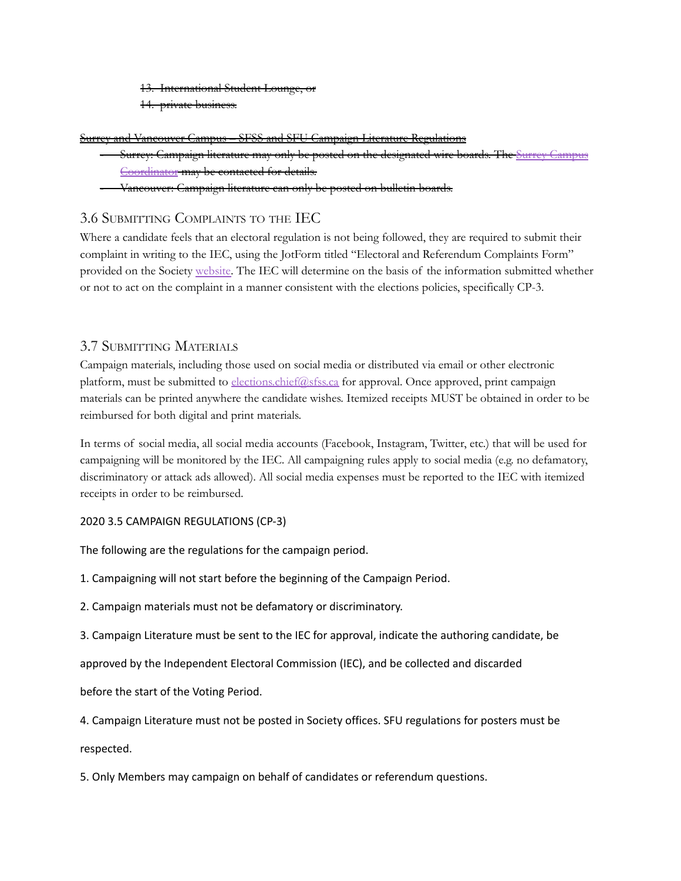13. International Student Lounge, or

14. private business.

Surrey and Vancouver Campus – SFSS and SFU Campaign Literature Regulations

- Surrey: Campaign literature may only be posted on the designated wire boards. The Surrey [Campus](mailto:msc.surrey@sfss.ca) [Coordinator](mailto:msc.surrey@sfss.ca) may be contacted for details.
- Vancouver: Campaign literature can only be posted on bulletin boards.

#### 3.6 SUBMITTING COMPLAINTS TO THE IEC

Where a candidate feels that an electoral regulation is not being followed, they are required to submit their complaint in writing to the IEC, using the JotForm titled "Electoral and Referendum Complaints Form" provided on the Society [website.](http://sfss.ca/elections-and-referenda/forms-and-documents/) The IEC will determine on the basis of the information submitted whether or not to act on the complaint in a manner consistent with the elections policies, specifically CP-3.

#### 3.7 SUBMITTING MATERIALS

Campaign materials, including those used on social media or distributed via email or other electronic platform, must be submitted to [elections.chief@sfss.ca](mailto:elections@sfss.ca) for approval. Once approved, print campaign materials can be printed anywhere the candidate wishes. Itemized receipts MUST be obtained in order to be reimbursed for both digital and print materials.

In terms of social media, all social media accounts (Facebook, Instagram, Twitter, etc.) that will be used for campaigning will be monitored by the IEC. All campaigning rules apply to social media (e.g. no defamatory, discriminatory or attack ads allowed). All social media expenses must be reported to the IEC with itemized receipts in order to be reimbursed.

#### 2020 3.5 CAMPAIGN REGULATIONS (CP-3)

The following are the regulations for the campaign period.

1. Campaigning will not start before the beginning of the Campaign Period.

2. Campaign materials must not be defamatory or discriminatory.

3. Campaign Literature must be sent to the IEC for approval, indicate the authoring candidate, be

approved by the Independent Electoral Commission (IEC), and be collected and discarded

before the start of the Voting Period.

4. Campaign Literature must not be posted in Society offices. SFU regulations for posters must be respected.

5. Only Members may campaign on behalf of candidates or referendum questions.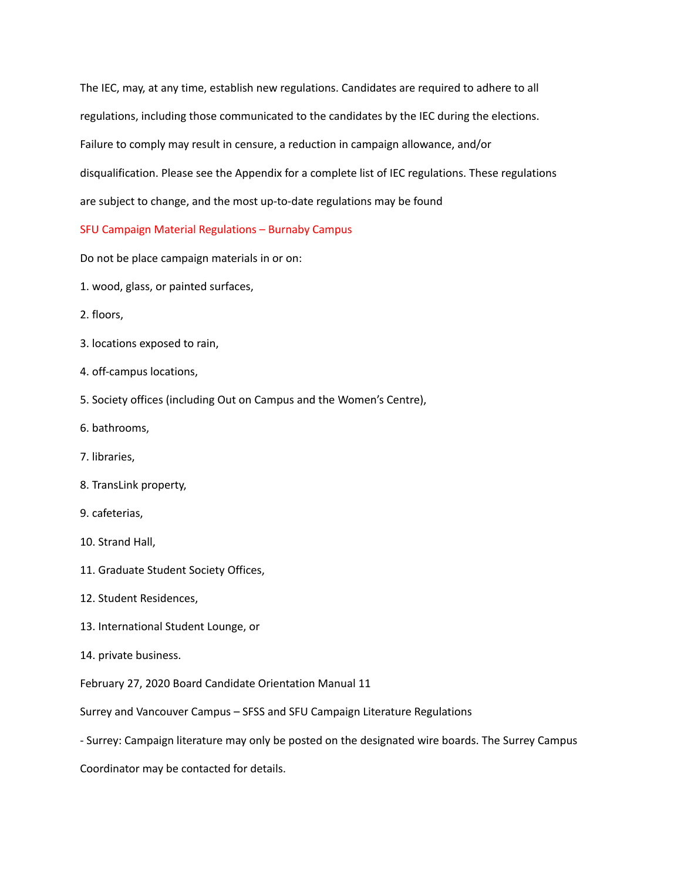The IEC, may, at any time, establish new regulations. Candidates are required to adhere to all regulations, including those communicated to the candidates by the IEC during the elections. Failure to comply may result in censure, a reduction in campaign allowance, and/or disqualification. Please see the Appendix for a complete list of IEC regulations. These regulations are subject to change, and the most up-to-date regulations may be found

#### SFU Campaign Material Regulations – Burnaby Campus

Do not be place campaign materials in or on:

- 1. wood, glass, or painted surfaces,
- 2. floors,
- 3. locations exposed to rain,
- 4. off-campus locations,
- 5. Society offices (including Out on Campus and the Women's Centre),
- 6. bathrooms,
- 7. libraries,
- 8. TransLink property,
- 9. cafeterias,
- 10. Strand Hall,
- 11. Graduate Student Society Offices,
- 12. Student Residences,
- 13. International Student Lounge, or
- 14. private business.

February 27, 2020 Board Candidate Orientation Manual 11

Surrey and Vancouver Campus – SFSS and SFU Campaign Literature Regulations

- Surrey: Campaign literature may only be posted on the designated wire boards. The Surrey Campus

Coordinator may be contacted for details.